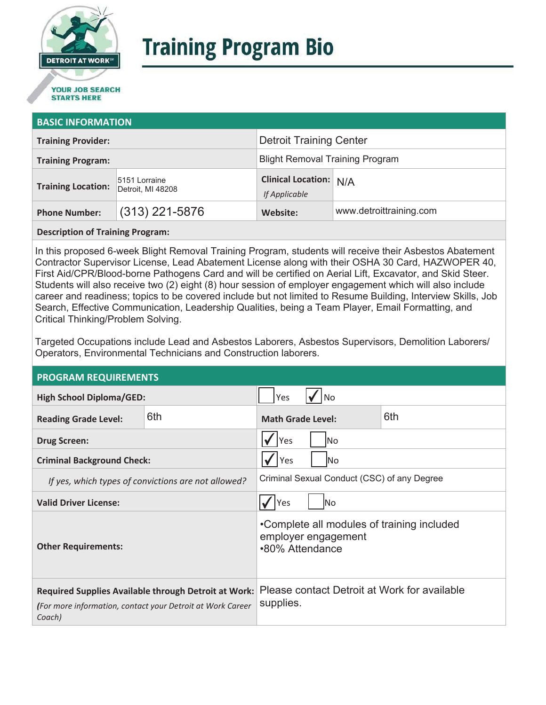

# **Training Program Bio**

## **STARTS HERE**

#### **BASIC INFORMATION**

| <b>Training Provider:</b> |                                    | <b>Detroit Training Center</b>                 |                         |  |
|---------------------------|------------------------------------|------------------------------------------------|-------------------------|--|
| <b>Training Program:</b>  |                                    | <b>Blight Removal Training Program</b>         |                         |  |
| <b>Training Location:</b> | 5151 Lorraine<br>Detroit, MI 48208 | <b>Clinical Location: N/A</b><br>If Applicable |                         |  |
| <b>Phone Number:</b>      | $(313)$ 221-5876                   | Website:                                       | www.detroittraining.com |  |

**Description of Training Program:** 

In this proposed 6-week Blight Removal Training Program, students will receive their Asbestos Abatement Contractor Supervisor License, Lead Abatement License along with their OSHA 30 Card, HAZWOPER 40, First Aid/CPR/Blood-borne Pathogens Card and will be certified on Aerial Lift, Excavator, and Skid Steer. Students will also receive two (2) eight (8) hour session of employer engagement which will also include career and readiness; topics to be covered include but not limited to Resume Building, Interview Skills, Job Search, Effective Communication, Leadership Qualities, being a Team Player, Email Formatting, and Critical Thinking/Problem Solving.

Targeted Occupations include Lead and Asbestos Laborers, Asbestos Supervisors, Demolition Laborers/ Operators, Environmental Technicians and Construction laborers.

#### **PROGRAM REQUIREMENTS**

| <b>High School Diploma/GED:</b>                                                                                              |     | Yes<br>No.                                                                           |  |     |
|------------------------------------------------------------------------------------------------------------------------------|-----|--------------------------------------------------------------------------------------|--|-----|
| <b>Reading Grade Level:</b>                                                                                                  | 6th | <b>Math Grade Level:</b>                                                             |  | 6th |
| <b>Drug Screen:</b>                                                                                                          |     | Yes<br>lNo.                                                                          |  |     |
| <b>Criminal Background Check:</b>                                                                                            |     | Yes<br>lNo                                                                           |  |     |
| If yes, which types of convictions are not allowed?                                                                          |     | Criminal Sexual Conduct (CSC) of any Degree                                          |  |     |
| <b>Valid Driver License:</b>                                                                                                 |     | lNo<br>Yes                                                                           |  |     |
| <b>Other Requirements:</b>                                                                                                   |     | •Complete all modules of training included<br>employer engagement<br>•80% Attendance |  |     |
| Required Supplies Available through Detroit at Work:<br>(For more information, contact your Detroit at Work Career<br>Coach) |     | Please contact Detroit at Work for available<br>supplies.                            |  |     |